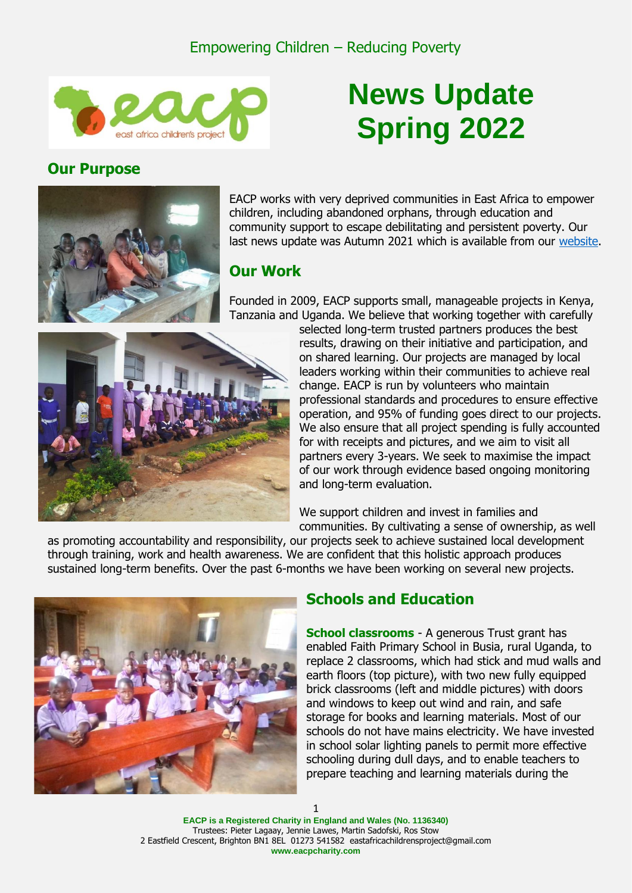

# **News Update Spring 2022**

### **Our Purpose**



EACP works with very deprived communities in East Africa to empower children, including abandoned orphans, through education and community support to escape debilitating and persistent poverty. Our last news update was Autumn 2021 which is available from our [website.](https://www.eacpcharity.com/)

## **Our Work**

Founded in 2009, EACP supports small, manageable projects in Kenya, Tanzania and Uganda. We believe that working together with carefully



selected long-term trusted partners produces the best results, drawing on their initiative and participation, and on shared learning. Our projects are managed by local leaders working within their communities to achieve real change. EACP is run by volunteers who maintain professional standards and procedures to ensure effective operation, and 95% of funding goes direct to our projects. We also ensure that all project spending is fully accounted for with receipts and pictures, and we aim to visit all partners every 3-years. We seek to maximise the impact of our work through evidence based ongoing monitoring and long-term evaluation.

We support children and invest in families and communities. By cultivating a sense of ownership, as well

as promoting accountability and responsibility, our projects seek to achieve sustained local development through training, work and health awareness. We are confident that this holistic approach produces sustained long-term benefits. Over the past 6-months we have been working on several new projects.



## **Schools and Education**

**School classrooms** - A generous Trust grant has enabled Faith Primary School in Busia, rural Uganda, to replace 2 classrooms, which had stick and mud walls and earth floors (top picture), with two new fully equipped brick classrooms (left and middle pictures) with doors and windows to keep out wind and rain, and safe storage for books and learning materials. Most of our schools do not have mains electricity. We have invested in school solar lighting panels to permit more effective schooling during dull days, and to enable teachers to prepare teaching and learning materials during the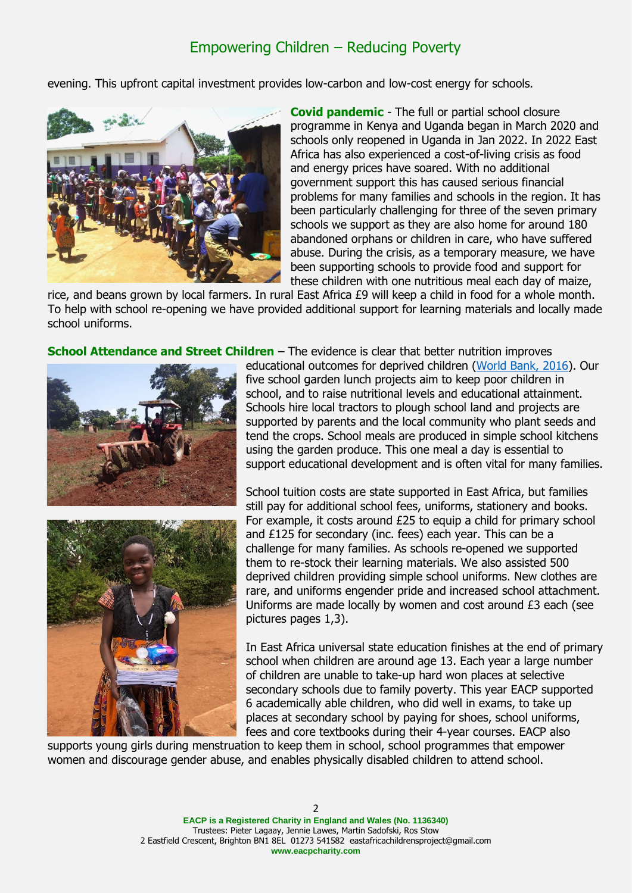evening. This upfront capital investment provides low-carbon and low-cost energy for schools.



**Covid pandemic** - The full or partial school closure programme in Kenya and Uganda began in March 2020 and schools only reopened in Uganda in Jan 2022. In 2022 East Africa has also experienced a cost-of-living crisis as food and energy prices have soared. With no additional government support this has caused serious financial problems for many families and schools in the region. It has been particularly challenging for three of the seven primary schools we support as they are also home for around 180 abandoned orphans or children in care, who have suffered abuse. During the crisis, as a temporary measure, we have been supporting schools to provide food and support for these children with one nutritious meal each day of maize,

rice, and beans grown by local farmers. In rural East Africa £9 will keep a child in food for a whole month. To help with school re-opening we have provided additional support for learning materials and locally made school uniforms.

**School Attendance and Street Children** – The evidence is clear that better nutrition improves





educational outcomes for deprived children [\(World Bank, 2016\)](https://www.worldbank.org/en/news/feature/2016/06/09/improving-africas-school-feeding-programs-analysis-sheds-light-on-strengths-challenges). Our five school garden lunch projects aim to keep poor children in school, and to raise nutritional levels and educational attainment. Schools hire local tractors to plough school land and projects are supported by parents and the local community who plant seeds and tend the crops. School meals are produced in simple school kitchens using the garden produce. This one meal a day is essential to support educational development and is often vital for many families.

School tuition costs are state supported in East Africa, but families still pay for additional school fees, uniforms, stationery and books. For example, it costs around £25 to equip a child for primary school and £125 for secondary (inc. fees) each year. This can be a challenge for many families. As schools re-opened we supported them to re-stock their learning materials. We also assisted 500 deprived children providing simple school uniforms. New clothes are rare, and uniforms engender pride and increased school attachment. Uniforms are made locally by women and cost around £3 each (see pictures pages 1,3).

In East Africa universal state education finishes at the end of primary school when children are around age 13. Each year a large number of children are unable to take-up hard won places at selective secondary schools due to family poverty. This year EACP supported 6 academically able children, who did well in exams, to take up places at secondary school by paying for shoes, school uniforms, fees and core textbooks during their 4-year courses. EACP also

supports young girls during menstruation to keep them in school, school programmes that empower women and discourage gender abuse, and enables physically disabled children to attend school.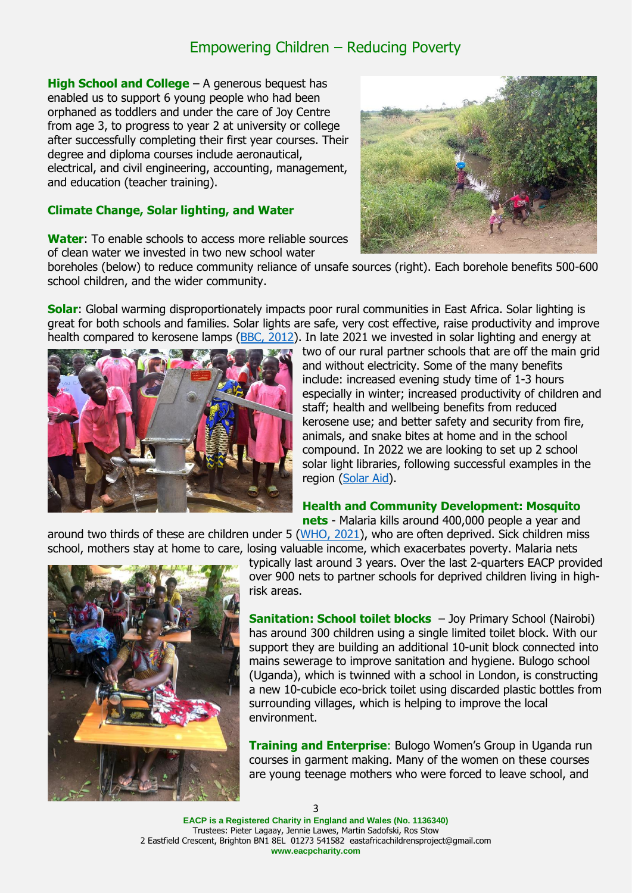**High School and College** – A generous bequest has enabled us to support 6 young people who had been orphaned as toddlers and under the care of Joy Centre from age 3, to progress to year 2 at university or college after successfully completing their first year courses. Their degree and diploma courses include aeronautical, electrical, and civil engineering, accounting, management, and education (teacher training).

#### **Climate Change, Solar lighting, and Water**

**Water**: To enable schools to access more reliable sources of clean water we invested in two new school water



boreholes (below) to reduce community reliance of unsafe sources (right). Each borehole benefits 500-600 school children, and the wider community.

**Solar**: Global warming disproportionately impacts poor rural communities in East Africa. Solar lighting is great for both schools and families. Solar lights are safe, very cost effective, raise productivity and improve health compared to kerosene lamps [\(BBC, 2012\)](https://www.bbc.co.uk/news/business-18262217). In late 2021 we invested in solar lighting and energy at



two of our rural partner schools that are off the main grid and without electricity. Some of the many benefits include: increased evening study time of 1-3 hours especially in winter; increased productivity of children and staff; health and wellbeing benefits from reduced kerosene use; and better safety and security from fire, animals, and snake bites at home and in the school compound. In 2022 we are looking to set up 2 school solar light libraries, following successful examples in the region [\(Solar Aid\)](https://www.lightingafrica.org/wp-content/uploads/2014/10/Light-Library-guide-FINAL-KH-09.09.14.pdf).

#### **Health and Community Development: Mosquito**

**nets** - Malaria kills around 400,000 people a year and

around two thirds of these are children under 5 [\(WHO,](https://www.who.int/news-room/fact-sheets/detail/malaria) 2021), who are often deprived. Sick children miss school, mothers stay at home to care, losing valuable income, which exacerbates poverty. Malaria nets



typically last around 3 years. Over the last 2-quarters EACP provided over 900 nets to partner schools for deprived children living in highrisk areas.

**Sanitation: School toilet blocks** - Joy Primary School (Nairobi) has around 300 children using a single limited toilet block. With our support they are building an additional 10-unit block connected into mains sewerage to improve sanitation and hygiene. Bulogo school (Uganda), which is twinned with a school in London, is constructing a new 10-cubicle eco-brick toilet using discarded plastic bottles from surrounding villages, which is helping to improve the local environment.

**Training and Enterprise**: Bulogo Women's Group in Uganda run courses in garment making. Many of the women on these courses are young teenage mothers who were forced to leave school, and